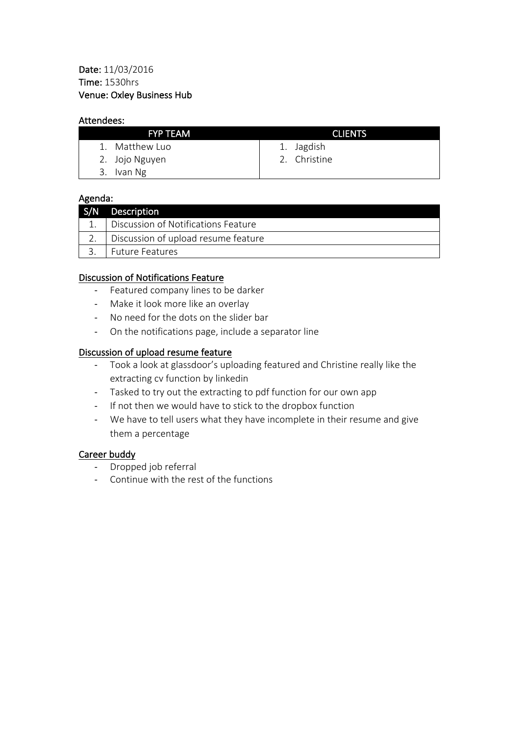### Attendees:

| <b>FYP TEAM</b> | <b>CLIENTS</b> |  |
|-----------------|----------------|--|
| 1. Matthew Luo  | 1. Jagdish     |  |
| 2. Jojo Nguyen  | 2. Christine   |  |
| 3. Ivan Ng      |                |  |

### Agenda:

| S/N Description                     |
|-------------------------------------|
| Discussion of Notifications Feature |
| Discussion of upload resume feature |
| 3. Future Features                  |

# Discussion of Notifications Feature

- Featured company lines to be darker
- Make it look more like an overlay
- No need for the dots on the slider bar
- On the notifications page, include a separator line

### Discussion of upload resume feature

- Took a look at glassdoor's uploading featured and Christine really like the extracting cv function by linkedin
- Tasked to try out the extracting to pdf function for our own app
- If not then we would have to stick to the dropbox function
- We have to tell users what they have incomplete in their resume and give them a percentage

#### Career buddy

- Dropped job referral
- Continue with the rest of the functions